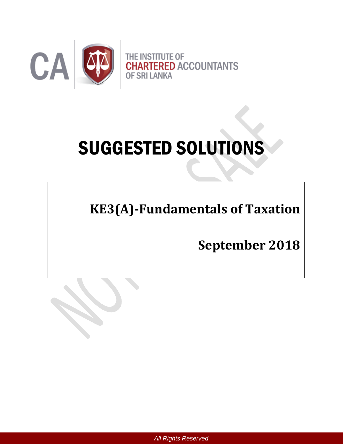

# SUGGESTED SOLUTIONS

**KE3(A)-Fundamentals of Taxation** 

**September 2018**

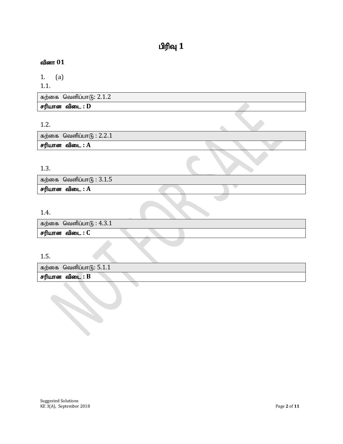# $\mathbf{d}$ ரிவு  $\mathbf{1}$

# வினா 01

1. (a)

1.1.

| கற்கை வெளிப்பாடு: 2.1.2 |
|-------------------------|
| சரியான விடை : D         |

1.2.

கற்கை வெளிப்பா $6: 2.2.1$  $F$ ரியான விடை :  $A$ 

# 1.3.

| கற்கை வெளிப்பாடு : $3.1.5$ |  |  |
|----------------------------|--|--|
| சரியான விடை : A            |  |  |
|                            |  |  |

 $\bullet$ 

# 1.4.

| கற்கை வெளிப்பாடு : $4.3.1$ |  |  |  |  |
|----------------------------|--|--|--|--|
| சரியான விடை : C            |  |  |  |  |

### 1.5.

| கற்கை வெளிப்பாடு: $5.1.1$ |  |  |
|---------------------------|--|--|
| சரியான விடை : B           |  |  |
|                           |  |  |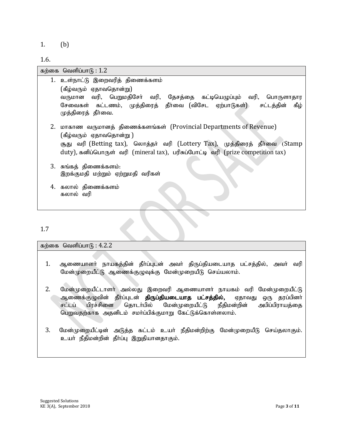1. (b)

1.6.

| கற்கை வெளிப்பா $\mathsf{G}: 1.2$                                                                                                                                                                                                                                 |
|------------------------------------------------------------------------------------------------------------------------------------------------------------------------------------------------------------------------------------------------------------------|
| 1. உள்நாட்டு இறைவரித் திணைக்களம்<br>(கீழ்வரும் ஏதாவதொன்று)<br>வருமான வரி, பெறுமதிசோ் வரி, தேசத்தை கட்டியெழுப்பும் வரி, பொருளாதார<br>சேவைகள் கட்டணம், முத்திரைத் தீர்வை (விசேட ஏற்பாடுகள்) சட்டத்தின்<br>கீம்<br>முத்திரைத் தீர்வை.                               |
| 2. மாகாண வருமானத் திணைக்களங்கள் (Provincial Departments of Revenue)<br>(கீழ்வரும் ஏதாவதொன்று )<br>சூது வரி (Betting tax), லொத்தர் வரி (Lottery Tax), முத்திரைத் தீர்வை (Stamp<br>duty), கனிப்பொருள் வரி (mineral tax), பரிசுப்போட்டி வரி (prize competition tax) |
| 3. சுங்கத் திணைக்களம்:<br>இறக்குமதி மற்றும் ஏற்றுமதி வரிகள்                                                                                                                                                                                                      |
| 4. கலால் திணைக்களம்<br>கலால் வரி                                                                                                                                                                                                                                 |

1.7

கற்கை வெளிப்பா $f_5$ :  $4.2.2$ 

- 1. ஆணையாளர் நாயகத்தின் தீர்ப்புடன் அவர் திருப்தியடையாத பட்சத்தில், அவர் வரி மேன்முறையீட்டு ஆணைக்குழுவுக்கு மேன்முறையீடு செய்யலாம்.
- 2. மேன்முறையீட்டாளர் அல்லது இறைவரி ஆணையாளர் நாயகம் வரி மேன்முறையீட்டு ஆணைக்குழுவின் தீா்ப்புடன் **திருப்தியடையாத பட்சத்தில்,** ஏதாவது ஒரு தரப்பினா் சட்டப் பிரச்சினை தொடர்பில் மேன்முறையீட்டு நீதிமன்றின் அபிப்பிராயத்தை பெறுவதற்காக அதனிடம் சமா்ப்பிக்குமாறு கேட்டுக்கொள்ளலாம்.
- 3. மேன்முறையீட்டின் அடுத்த கட்டம் உயர் நீதிமன்றிற்கு மேன்முறையீடு செய்தலாகும். உயா் நீதிமன்றின் தீா்ப்பு இறுதியானதாகும்.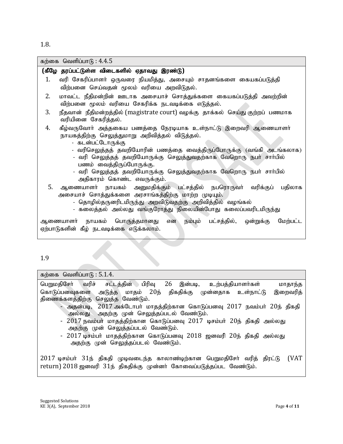1.8.

| கற்கை வெளிப்பா $(6): 4.4.5$                                                                                                                                                                                                                                                                                                                                                                                                                                                                                                                                                                                                                                                             |
|-----------------------------------------------------------------------------------------------------------------------------------------------------------------------------------------------------------------------------------------------------------------------------------------------------------------------------------------------------------------------------------------------------------------------------------------------------------------------------------------------------------------------------------------------------------------------------------------------------------------------------------------------------------------------------------------|
| (கீழே தரப்பட்டுள்ள விடைகளில் ஏதாவது இரண்டு)                                                                                                                                                                                                                                                                                                                                                                                                                                                                                                                                                                                                                                             |
| 1.<br>வரி சேகரிப்பாளா் ஒருவரை நியமித்து, அசையும் சாதனங்களை கையகப்படுத்தி<br>விற்பனை செய்வதன் மூலம் வரியை அறவிடுதல்.                                                                                                                                                                                                                                                                                                                                                                                                                                                                                                                                                                     |
| 2.<br>மாவட்ட நீதிமன்றின் ஊடாக அசையாச் சொத்துக்களை கையகப்படுத்தி அவற்றின்<br>விற்பனை மூலம் வரியை சேகரிக்க நடவடிக்கை எடுத்தல்.                                                                                                                                                                                                                                                                                                                                                                                                                                                                                                                                                            |
| 3.<br>நீதவான் நீதிமன்றத்தில் (magistrate court) வழக்கு தாக்கல் செய்து குற்றப் பணமாக<br>வரியினை சேகரித்தல்.                                                                                                                                                                                                                                                                                                                                                                                                                                                                                                                                                                              |
| கீழ்வருவோா் அத்தகைய பணத்தை நேரடியாக உள்நாட்டு இறைவரி ஆணையாளா்<br>4.<br>நாயகத்திற்கு செலுத்துமாறு அறிவித்தல் விடுத்தல்.<br>- கடன்பட்டோருக்கு<br>- வரிசெலுத்தத் தவறியோரின் பணத்தை வைத்திருப்போருக்கு (வங்கி அடங்கலாக)<br>- வரி செலுத்தத் தவறியோருக்கு செலுத்துவதற்காக வேறொரு நபா் சாா்பில்<br>பணம் வைத்திருப்போருக்கு.<br>- வரி செலுத்தத் தவறியோருக்கு செலுத்துவதற்காக வேறொரு நபா் சாா்பில்<br>அதிகாரம் கொண்ட எவருக்கும்.<br>5.<br>ஆணையாளர் நாயகம் அனுமதிக்கும் பட்சத்தில் நபரொருவர் வரிக்குப் பதிலாக<br>அசையாச் சொத்துக்களை அரசாங்கத்திற்கு மாற்ற முடியும்.<br>- தொழில்தருனரிடமிருந்து அறவிடுவதற்கு அறிவித்தில் வழங்கல்<br>- கலைத்தல் அல்லது வங்குரோத்து நிலையின்போது கலைப்பவரிடமிருந்து |
| ஆணையாளா் நாயகம் பொருத்தமானது என நம்பும் பட்சத்தில், ஒன்றுக்கு<br>மேற்பட்ட<br>ஏற்பாடுகளின் கீழ் நடவடிக்கை எடுக்கலாம்.                                                                                                                                                                                                                                                                                                                                                                                                                                                                                                                                                                    |
| 1.9                                                                                                                                                                                                                                                                                                                                                                                                                                                                                                                                                                                                                                                                                     |
| கற்கை வெளிப்பா $6:5.1.4$ .                                                                                                                                                                                                                                                                                                                                                                                                                                                                                                                                                                                                                                                              |

பெறுமதிசேர் வரிச் சட்டத்தின் பிரிவு 26 இன்படி, உற்பத்தியாளர்கள் மாதாந்த கொடுப்பனவுகளை அடுத்த மாதம் 20ந் திகதிக்கு முன்னதாக உள்நாட்டு இறைவரித் திணைக்களத்திற்கு செலுத்த வேண்டும்.

- $-$  அதன்படி,  $2017$  அக்டோபா் மாதத்திற்கான கொடுப்பனவு  $2017$  நவம்பா்  $20$ ந் திகதி அல்லது அதற்கு முன் செலுத்தப்படல் வேண்டும்.
- 2017 நவம்பா் மாதத்திற்கான கொடுப்பனவு 2017 டிசம்பா் 20ந் திகதி அல்லது அதற்கு முன் செலுத்தப்படல் வேண்டும்.
- 2017 டிசம்பர் மாதத்திற்கான கொடுப்பனவு 2018 ஜனவரி 20ந் திகதி அல்லது அதற்கு முன் செலுத்தப்படல் வேண்டும்.

 $2017$  டிசம்பர்  $31$ ந் திகதி முடிவடைந்த காலாண்டிற்கான பெறுமதிசேர் வரித் திரட்டு (VAT return) 2018 ஜனவரி 31ந் திகதிக்கு முன்னர் கோவைப்படுத்தப்பட வேண்டும்.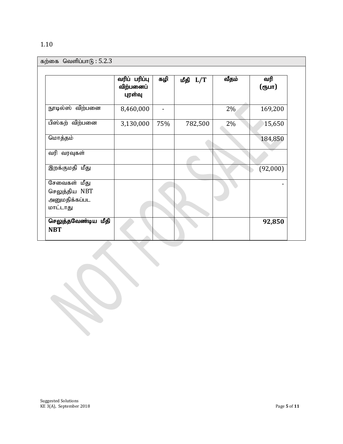|  | ×<br>۰. |
|--|---------|

| கற்கை வெளிப்பா $6:5.2.3$                                   |                                       |     |          |       |               |
|------------------------------------------------------------|---------------------------------------|-----|----------|-------|---------------|
|                                                            | வரிப் பரிப்பு<br>விற்பனைப்<br>புரள்வு | கழி | மீதி L/T | வீதம் | வரி<br>(ரூபா) |
| நூடில்ஸ் விற்பனை                                           | 8,460,000                             |     |          | $2\%$ | 169,200       |
| பிஸ்கற் விற்பனை                                            | 3,130,000                             | 75% | 782,500  | 2%    | 15,650        |
| மொத்தம்                                                    |                                       |     |          |       | 184,850       |
| வரி வரவுகள்                                                |                                       |     |          |       |               |
| இறக்குமதி மீது                                             |                                       |     |          |       | (92,000)      |
| சேவைகள் மீது<br>செலுத்திய NBT<br>அனுமதிக்கப்பட<br>மாட்டாது |                                       |     |          |       |               |
| செலுத்தவேண்டிய மீதி<br><b>NBT</b>                          |                                       |     |          |       | 92,850        |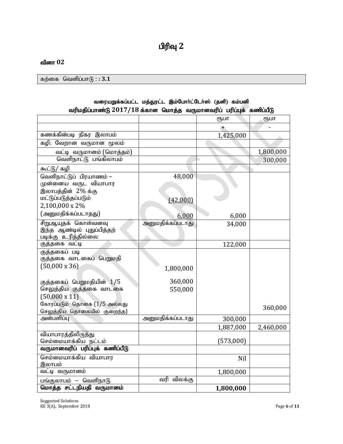#### வினா 02

 $\delta$ கற்கை வெளிப்பா $\delta$  : : 3.1

| $\alpha$ and a complete the construction of $\alpha$ and $\alpha$ and $\alpha$ and $\alpha$ and $\alpha$ and $\alpha$ and $\alpha$ and $\alpha$ and $\alpha$ |                  |               |           |
|--------------------------------------------------------------------------------------------------------------------------------------------------------------|------------------|---------------|-----------|
|                                                                                                                                                              |                  | ரூபா          | (Ҧ⊔П      |
|                                                                                                                                                              |                  | $\rightarrow$ |           |
| கணக்கின்படி நிகர இலாபம்                                                                                                                                      |                  | 1,425,000     |           |
| கழி: வேறான வருமான மூலம்                                                                                                                                      |                  |               |           |
| வட்டி வருமானம் (மொத்தம்)                                                                                                                                     |                  |               | 1,800,000 |
| வெளிநாட்டு பங்கிலாபம்                                                                                                                                        |                  |               | 300,000   |
| கூட்டு/ கழி                                                                                                                                                  |                  |               |           |
| வெளிநாட்டுப் பிரயாணம் –                                                                                                                                      | 48,000           |               |           |
| முன்னைய வருட வியாபார                                                                                                                                         |                  |               |           |
| இலாபத்தின் 2% க்கு                                                                                                                                           |                  |               |           |
| மட்டுப்படுத்தப்படும்                                                                                                                                         | (42,000)         |               |           |
| 2,100,000 x 2%                                                                                                                                               |                  |               |           |
| (அனுமதிக்கப்படாதது)                                                                                                                                          | 6,000            | 6,000         |           |
| சிறுஆயுதக் கொள்வனவு                                                                                                                                          | அனுமதிக்கப்படாது | 34,000        |           |
| இந்த ஆண்டில் புதுப்பித்தற்                                                                                                                                   |                  |               |           |
| படிக்கு உரித்தில்லை                                                                                                                                          |                  |               |           |
| குத்தகை வட்டி                                                                                                                                                |                  | 122,000       |           |
| குத்தகைப் படி                                                                                                                                                |                  |               |           |
| குத்தகை வாடகைப் பெறுமதி<br>$(50,000 \times 36)$                                                                                                              |                  |               |           |
|                                                                                                                                                              | 1,800,000        |               |           |
|                                                                                                                                                              | 360,000          |               |           |
| குத்தகைப் பெறுமதியின் 1/5<br>செலுத்திய குத்தகை வாடகை                                                                                                         | 550,000          |               |           |
| $(50,000 \times 11)$                                                                                                                                         |                  |               |           |
| கோரப்படும் தொகை (1/5 அல்லது                                                                                                                                  |                  |               |           |
| செலுத்திய தொகையில் குறைந்த)                                                                                                                                  |                  |               | 360,000   |
| அன்பளிப்பு                                                                                                                                                   | அனுமதிக்கப்படாது | 300,000       |           |
|                                                                                                                                                              |                  | 1,887,000     | 2,460,000 |
| வியாபாரத்திலிருந்து                                                                                                                                          |                  |               |           |
| செம்மையாக்கிய நட்டம்                                                                                                                                         |                  | (573,000)     |           |
| வருமானவரிப் பரிப்புக் கணிப்பீடு                                                                                                                              |                  |               |           |
| செம்மையாக்கிய வியாபார                                                                                                                                        |                  | Nil           |           |
| இலாபம்                                                                                                                                                       |                  |               |           |
| வட்டி வருமானம்                                                                                                                                               |                  | 1,800,000     |           |
| பங்குலாபம் – வெளிநாடு                                                                                                                                        | வரி விலக்கு      |               |           |
| மொத்த சட்டநியதி வருமானம்                                                                                                                                     |                  | 1,800,000     |           |

#### வரையறுக்கப்பட்ட மத்துரட்ட இம்போர்ட்டேர்ஸ் (தனி) கம்பனி ் வரிமதிப்பாண்டு 2017/18 க்கான மொக்க, வருமானவரிப் பரிப்பக், கணிப்பீடு

Suggested Solutions KE 3(A), September 2018 Page **6** of **11**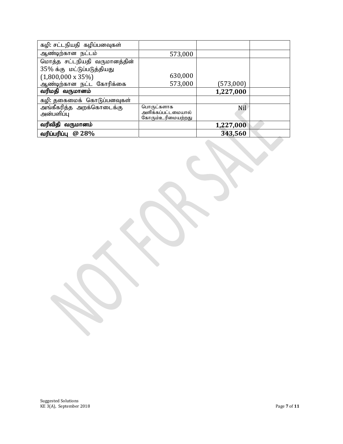| கழி: சட்டநியதி கழிப்பனவுகள்  |                                         |           |  |
|------------------------------|-----------------------------------------|-----------|--|
| ஆண்டிற்கான நட்டம்            | 573,000                                 |           |  |
| மொத்த சட்டநியதி வருமானத்தின் |                                         |           |  |
| 35% க்கு மட்டுப்படுத்தியது   |                                         |           |  |
| $(1,800,000 \times 35\%)$    | 630,000                                 |           |  |
| ஆண்டிற்கான நட்ட கோரிக்கை     | 573,000                                 | (573,000) |  |
| வரிமதி வருமானம்              |                                         | 1,227,000 |  |
| கழி: தகைமைக் கொடுப்பனவுகள்   |                                         |           |  |
| அங்கீகரித்த அறக்கொடைக்கு     | பொருட்களாக                              | Nil       |  |
| அன்பளிப்பு                   | அளிக்கப்பட்டமையால்<br>கோரும்உரிமையற்றது |           |  |
| வரிவிதி வருமானம்             |                                         | 1,227,000 |  |
| வரிப்பரிப்பு @ 28%           |                                         | 343,560   |  |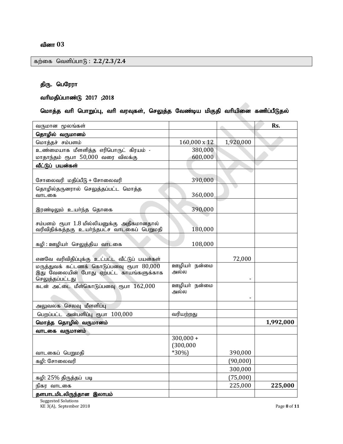# திரு. பெரேரா

# வரிமதிப்பாண்டு 2017 ;2018

#### மொத்த வரி பொறுப்பு, வரி வரவுகள், செலுத்த வேண்டிய மிகுதி வரியினை கணிப்பீடுதல்

| வருமான மூலங்கள்                                                                                           |                          |           | Rs.       |
|-----------------------------------------------------------------------------------------------------------|--------------------------|-----------|-----------|
| தொழில் வருமானம்                                                                                           |                          |           |           |
| மொத்தச் சம்பளம்                                                                                           | 160,000 x 12             | 1,920,000 |           |
| உண்மையாக மீளளித்த எரிபொருட் கிரயம் -                                                                      | 380,000                  |           |           |
| மாதாந்தம் ரூபா 50,000 வரை விலக்கு                                                                         | 600,000                  |           |           |
| வீட்டுப் பயன்கள்                                                                                          |                          |           |           |
| சோலைவரி மதிப்பீடு + சோலைவரி                                                                               | 390,000                  |           |           |
| தொழில்தருனரால் செலுத்தப்பட்ட மொத்த<br>வாடகை                                                               | 360,000                  |           |           |
| இரண்டிலும் உயா்ந்த தொகை                                                                                   | 390,000                  |           |           |
| சம்பளம் ரூபா 1.8 மில்லியனுக்கு அதிகமானதால்<br>வரிவிதிக்கத்தகு உயர்ந்தபட்ச வாடகைப் பெறுமதி                 | 180,000                  |           |           |
| கழி : ஊழியா் செலுத்திய வாடகை                                                                              | 108,000                  |           |           |
| எனவே வரிவிதிப்புக்கு உட்பட்ட வீட்டுப் பயன்கள்                                                             |                          | 72,000    |           |
| மருத்துவக் கட்டணக் கொடுப்பனவு ரூபா $80,000$<br>இது வேலையின் போது ஏற்பட்ட காயங்களுக்காக<br>செலுத்தப்பட்டது | ஊழியா் நன்மை<br>அல்ல     |           |           |
| கடன் அட்டை மீள்கொடுப்பனவு ரூபா 162,000                                                                    | ஊழியா் நன்மை<br>அல்ல     |           |           |
| அலுவலக செலவு மீளளிப்பு                                                                                    |                          |           |           |
| பெறப்பட்ட அன்பளிப்பு ரூபா 100,000                                                                         | வரியற்றது                |           |           |
| மொத்த தொழில் வருமானம்                                                                                     |                          |           | 1,992,000 |
| வாடகை வருமானம்                                                                                            |                          |           |           |
|                                                                                                           | $300,000 +$<br>(300,000) |           |           |
| வாடகைப் பெறுமதி                                                                                           | $*30\%$                  | 390,000   |           |
| கழி: சோலைவரி                                                                                              |                          | (90,000)  |           |
|                                                                                                           |                          | 300,000   |           |
| கழி: 25% திருத்தப் படி                                                                                    |                          | (75,000)  |           |
| நிகர வாடகை                                                                                                |                          | 225,000   | 225,000   |
| தளபாடமிடலிருந்தான இலாபம்                                                                                  |                          |           |           |

Suggested Solutions KE 3(A), September 2018 Page **8** of **11**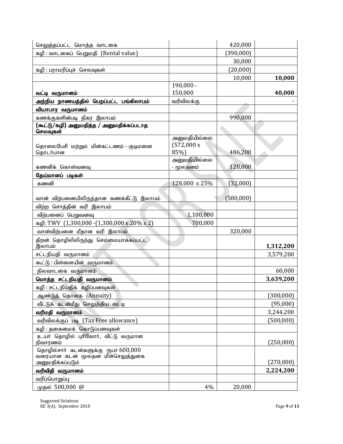| செலுத்தப்பட்ட மொத்த வாடகை                                   |                       | 420,000   |            |
|-------------------------------------------------------------|-----------------------|-----------|------------|
| கழி: வாடகைப் பெறுமதி (Rental value)                         |                       | (390,000) |            |
|                                                             |                       | 30,000    |            |
| கழி : பராமரிப்புச் செலவுகள்                                 |                       | (20,000)  |            |
|                                                             |                       | 10,000    | 10,000     |
|                                                             | $190,000 -$           |           |            |
| வட்டி வருமானம்                                              | 150,000               |           | 40,000     |
| அந்நிய நாணயத்தில் பெறப்பட்ட பங்கிலாபம்                      | வரிவிலக்கு            |           |            |
| வியாபார வருமானம்                                            |                       |           |            |
| கணக்குகளின்படி நிகர இலாபம்                                  |                       | 990,000   |            |
| (கூட்டு/கழி) அனுமதித்த / அனுமதிக்கப்படாத<br>செலவுகள்        |                       |           |            |
|                                                             | அனுமதியில்லை          |           |            |
| தொலைபேசி மற்றும் மின்கட்டணம் - குடிமனை                      | $(572,000 \text{ x})$ |           |            |
| தொடர்பான                                                    | 85%)<br>அனுமதியில்லை  | 486,200   |            |
| கணனிக் கொள்வனவு                                             | - மூலதனம்             | 128,000   |            |
| தேய்மானப் படிகள்                                            |                       |           |            |
| கணனி                                                        | 128,000 x 25%         | (32,000)  |            |
|                                                             |                       |           |            |
| வான் விற்பனையிலிருந்தான கணக்கீட்டு இலாபம்                   |                       | (580,000) |            |
| விற்ற சொத்தின் வரி இலாபம்                                   |                       |           |            |
| விற்பனைப் பெறுவனவு                                          | 1,100,000             |           |            |
| $\mu$ <sub>0</sub> : TWV (1,300,000 - (1,300,000 x 20% x 2) | 780,000               |           |            |
| வான்விற்பனை மீதான வரி இலாபம்                                |                       | 320,000   |            |
| திறன் தொழிலிலிருந்து செம்மையாக்கப்பட்ட<br>இலாபம்            |                       |           | 1,312,200  |
| சட்டநியதி வருமானம்                                          |                       |           | 3,579,200  |
| கூட்டு : பிள்ளையின் வருமானம்                                |                       |           |            |
| நிலவாடகை வருமானம்                                           |                       |           | 60,000     |
| மொத்த சட்டநியதி வருமானம்                                    |                       |           | 3,639,200  |
| கழி : சட்டநியதிக் கழிப்பனவுகள்                              |                       |           |            |
| ஆண்டுத் தொகை (Annuity)                                      |                       |           | (300, 000) |
| வீட்டுக் கடன்மீது செலுத்திய வட்டி                           |                       |           | (95,000)   |
| வரிமதி வருமானம்                                             |                       |           | 3,244,200  |
| வரிவிலக்குப் படி (Tax Free allowance)                       |                       |           | (500,000)  |
| கழி : தகைமைக் கொடுப்பனவுகள்                                 |                       |           |            |
| உயர் தொழில் புரிவோர், வீட்டு வருமான<br>நிவாரணம்             |                       |           | (250,000)  |
| தொழில்சார் கடன்களுக்கு ரூபா 600,000                         |                       |           |            |
| வரையான கடன் மூலதன மீள்செலுத்துகை                            |                       |           |            |
| அனுமதிக்கப்படும்                                            |                       |           | (270,000)  |
| வரிவிதி வருமானம்                                            |                       |           | 2,224,200  |
| வரிப்பொறுப்பு                                               |                       |           |            |
| முதல் 500,000 @                                             | 4%                    | 20,000    |            |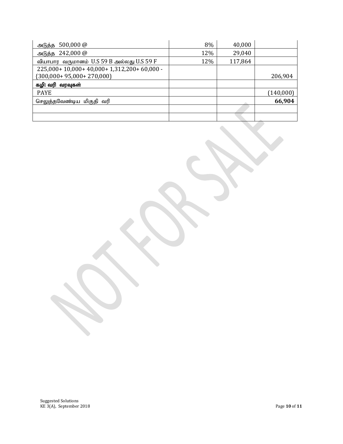| $500,000 \omega$<br>அடுத்த                | 8%  | 40,000  |           |
|-------------------------------------------|-----|---------|-----------|
| $242,000 \omega$<br>அடுத்த                | 12% | 29,040  |           |
| வியாபார வருமானம் U.S 59 B அல்லது U.S 59 F | 12% | 117,864 |           |
| 225,000+10,000+40,000+1,312,200+60,000-   |     |         |           |
| $(300,000+95,000+270,000)$                |     |         | 206,904   |
| கழி: வரி வரவுகள்                          |     |         |           |
| <b>PAYE</b>                               |     |         | (140,000) |
| செலுத்தவேண்டிய மிகுதி வரி                 |     |         | 66,904    |
|                                           |     |         |           |
|                                           |     |         |           |